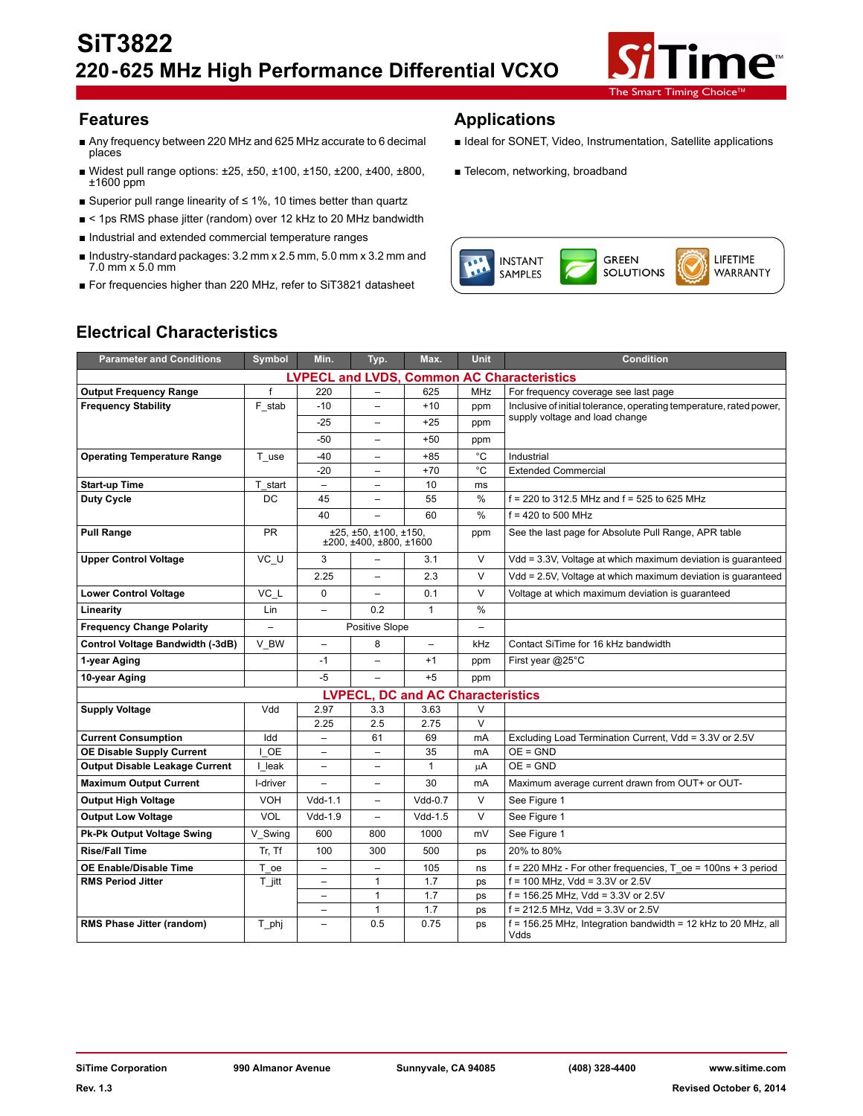

- Any frequency between 220 MHz and 625 MHz accurate to 6 decimal places
- Widest pull range options: ±25, ±50, ±100, ±150, ±200, ±400, ±800, ±1600 ppm
- Superior pull range linearity of ≤ 1%, 10 times better than quartz
- < 1ps RMS phase jitter (random) over 12 kHz to 20 MHz bandwidth
- Industrial and extended commercial temperature ranges
- Industry-standard packages: 3.2 mm x 2.5 mm, 5.0 mm x 3.2 mm and 7.0 mm x 5.0 mm
- For frequencies higher than 220 MHz, refer to SiT3821 datasheet

## **Features Applications**

- Ideal for SONET, Video, Instrumentation, Satellite applications
- Telecom, networking, broadband



# **Electrical Characteristics**

| <b>Parameter and Conditions</b>                    | Symbol               | Min.                     | Typ.                                             | Max.                                           | <b>Unit</b>   | <b>Condition</b>                                                        |
|----------------------------------------------------|----------------------|--------------------------|--------------------------------------------------|------------------------------------------------|---------------|-------------------------------------------------------------------------|
| <b>LVPECL and LVDS, Common AC Characteristics</b>  |                      |                          |                                                  |                                                |               |                                                                         |
| <b>Output Frequency Range</b>                      | $\mathsf{f}$         | 220                      |                                                  | 625                                            | <b>MHz</b>    | For frequency coverage see last page                                    |
| <b>Frequency Stability</b>                         | F_stab               | -10                      |                                                  | $+10$                                          | ppm           | Inclusive of initial tolerance, operating temperature, rated power,     |
|                                                    |                      | $-25$                    | $\overline{\phantom{0}}$                         | $+25$                                          | ppm           | supply voltage and load change                                          |
|                                                    |                      | $-50$                    | $\overline{\phantom{0}}$                         | $+50$                                          | ppm           |                                                                         |
| <b>Operating Temperature Range</b>                 | $T_{\_\_\text{use}}$ | -40                      | -                                                | $+85$                                          | $^{\circ}$ C  | Industrial                                                              |
|                                                    |                      | $-20$                    | $\overline{\phantom{0}}$                         | $+70$                                          | °C            | <b>Extended Commercial</b>                                              |
| <b>Start-up Time</b>                               | T start              | $\overline{\phantom{m}}$ | $\overline{\phantom{0}}$                         | 10                                             | ms            |                                                                         |
| <b>Duty Cycle</b>                                  | DC                   | 45                       |                                                  | 55                                             | %             | $f = 220$ to 312.5 MHz and $f = 525$ to 625 MHz                         |
|                                                    |                      | 40                       |                                                  | 60                                             | $\frac{0}{0}$ | $f = 420$ to 500 MHz                                                    |
| <b>Pull Range</b>                                  | <b>PR</b>            |                          | ±25, ±50, ±100, ±150,<br>±200, ±400, ±800, ±1600 |                                                | ppm           | See the last page for Absolute Pull Range, APR table                    |
| <b>Upper Control Voltage</b>                       | VC U                 | 3                        | $\overline{\phantom{0}}$                         | 3.1                                            | $\vee$        | Vdd = 3.3V, Voltage at which maximum deviation is quaranteed            |
|                                                    |                      | 2.25                     | $\overline{\phantom{0}}$                         | 2.3                                            | V             | Vdd = 2.5V, Voltage at which maximum deviation is quaranteed            |
| <b>Lower Control Voltage</b>                       | VC L                 | 0                        | $\overline{a}$                                   | 0.1                                            | V             | Voltage at which maximum deviation is quaranteed                        |
| Linearity                                          | Lin                  | $\overline{\phantom{0}}$ | 0.2                                              | $\mathbf{1}$                                   | $\frac{0}{0}$ |                                                                         |
| <b>Frequency Change Polarity</b>                   |                      | Positive Slope           |                                                  |                                                |               |                                                                         |
| Control Voltage Bandwidth (-3dB)                   | V BW                 | $\overline{\phantom{0}}$ | 8                                                | $\overline{\phantom{m}}$                       | kHz           | Contact SiTime for 16 kHz bandwidth                                     |
| 1-year Aging                                       |                      | $-1$                     | $\overline{\phantom{0}}$                         | $+1$                                           | ppm           | First year @25°C                                                        |
| 10-year Aging                                      |                      | -5                       |                                                  | $+5$                                           | ppm           |                                                                         |
| <b>LVPECL.</b><br><b>DC and AC Characteristics</b> |                      |                          |                                                  |                                                |               |                                                                         |
| <b>Supply Voltage</b>                              | Vdd                  | 2.97                     | 3.3                                              | 3.63                                           | $\vee$        |                                                                         |
|                                                    |                      | 2.25                     | 2.5                                              | 2.75                                           | $\vee$        |                                                                         |
| <b>Current Consumption</b>                         | Idd                  |                          | 61                                               | 69                                             | mA            | Excluding Load Termination Current, Vdd = 3.3V or 2.5V                  |
| <b>OE Disable Supply Current</b>                   | I OE                 | $\overline{a}$           | $\equiv$                                         | 35                                             | mA            | $OE = GND$                                                              |
| <b>Output Disable Leakage Current</b>              | I leak               | $\overline{\phantom{0}}$ | $\overline{\phantom{0}}$                         | $\mathbf{1}$                                   | μA            | $OE = GND$                                                              |
| <b>Maximum Output Current</b>                      | I-driver             | $\overline{\phantom{0}}$ | $\equiv$                                         | 30                                             | mA            | Maximum average current drawn from OUT+ or OUT-                         |
| <b>Output High Voltage</b>                         | <b>VOH</b>           | $Vdd-1.1$                | $\equiv$                                         | $Vdd-0.7$                                      | $\vee$        | See Figure 1                                                            |
| <b>Output Low Voltage</b>                          | VOL                  | $Vdd-1.9$                |                                                  | $Vdd-1.5$                                      | $\vee$        | See Figure 1                                                            |
| <b>Pk-Pk Output Voltage Swing</b>                  | V Swing              | 600                      | 800                                              | 1000                                           | mV            | See Figure 1                                                            |
| <b>Rise/Fall Time</b>                              | Tr, Tf               | 100                      | 300                                              | 500                                            | ps            | 20% to 80%                                                              |
| <b>OE Enable/Disable Time</b>                      | T_oe                 | $\overline{\phantom{0}}$ | $\overline{\phantom{0}}$                         | 105                                            | ns            | $f = 220$ MHz - For other frequencies, T oe = 100ns + 3 period          |
| <b>RMS Period Jitter</b>                           | $T_{\parallel}$ jitt | $\equiv$                 | 1                                                | $f = 100$ MHz, Vdd = 3.3V or 2.5V<br>1.7<br>ps |               |                                                                         |
|                                                    |                      | -                        | $\mathbf{1}$                                     | 1.7                                            | ps            | $f = 156.25$ MHz, Vdd = 3.3V or 2.5V                                    |
|                                                    |                      | ▃                        | $\mathbf{1}$                                     | 1.7                                            | ps            | $f = 212.5$ MHz. Vdd = 3.3V or 2.5V                                     |
| RMS Phase Jitter (random)                          | T_phj                | $\overline{\phantom{0}}$ | 0.5                                              | 0.75                                           | ps            | $f = 156.25$ MHz, Integration bandwidth = 12 kHz to 20 MHz, all<br>Vdds |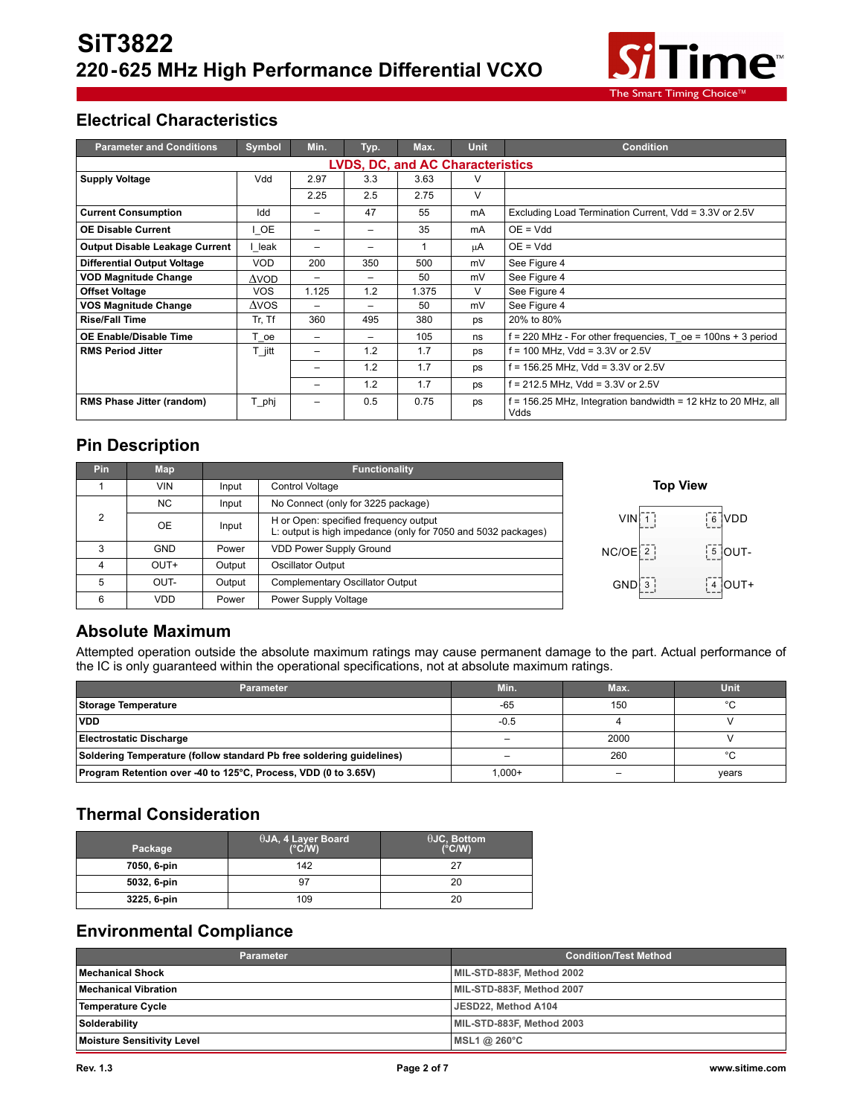

# **Electrical Characteristics**

| <b>Parameter and Conditions</b>         | <b>Symbol</b> | Min.  | Typ.            | Max.  | <b>Unit</b> | <b>Condition</b>                                                      |  |
|-----------------------------------------|---------------|-------|-----------------|-------|-------------|-----------------------------------------------------------------------|--|
| <b>LVDS, DC, and AC Characteristics</b> |               |       |                 |       |             |                                                                       |  |
| <b>Supply Voltage</b>                   | Vdd           | 2.97  | 3.3             | 3.63  |             |                                                                       |  |
|                                         |               | 2.25  | 2.5             | 2.75  | V           |                                                                       |  |
| <b>Current Consumption</b>              | Idd           | -     | 47              | 55    | mA          | Excluding Load Termination Current, Vdd = 3.3V or 2.5V                |  |
| <b>OE Disable Current</b>               | I OE          | -     | $\qquad \qquad$ | 35    | mA          | $OE = Vdd$                                                            |  |
| <b>Output Disable Leakage Current</b>   | leak          |       |                 | 1     | μA          | $OE = Vdd$                                                            |  |
| <b>Differential Output Voltage</b>      | <b>VOD</b>    | 200   | 350             | 500   | mV          | See Figure 4                                                          |  |
| <b>VOD Magnitude Change</b>             | $\Delta$ VOD  | -     | $\qquad \qquad$ | 50    | mV          | See Figure 4                                                          |  |
| <b>Offset Voltage</b>                   | <b>VOS</b>    | 1.125 | 1.2             | 1.375 | V           | See Figure 4                                                          |  |
| VOS Magnitude Change                    | $\Delta$ VOS  | -     | -               | 50    | mV          | See Figure 4                                                          |  |
| <b>Rise/Fall Time</b>                   | Tr, Tf        | 360   | 495             | 380   | ps          | 20% to 80%                                                            |  |
| <b>OE Enable/Disable Time</b>           | T oe          | -     |                 | 105   | ns          | $f = 220$ MHz - For other frequencies, T $oe = 100$ ns + 3 period     |  |
| <b>RMS Period Jitter</b>                | T jitt        | -     | 1.2             | 1.7   | ps          | f = 100 MHz, Vdd = 3.3V or 2.5V                                       |  |
|                                         |               | -     | 1.2             | 1.7   | ps          | f = 156.25 MHz, Vdd = 3.3V or 2.5V                                    |  |
|                                         |               | -     | 1.2             | 1.7   | ps          | $f = 212.5$ MHz, Vdd = 3.3V or 2.5V                                   |  |
| <b>RMS Phase Jitter (random)</b>        | T phj         | -     | 0.5             | 0.75  | ps          | f = 156.25 MHz, Integration bandwidth = 12 kHz to 20 MHz, all<br>Vdds |  |

## **Pin Description**

| Pin | <b>Map</b> |        | <b>Functionality</b>                                                                                   |                                                             |
|-----|------------|--------|--------------------------------------------------------------------------------------------------------|-------------------------------------------------------------|
|     | VIN        | Input  | Control Voltage                                                                                        | <b>Top View</b>                                             |
|     | NC.        | Input  | No Connect (only for 3225 package)                                                                     |                                                             |
| 2   | 0E         | Input  | H or Open: specified frequency output<br>L: output is high impedance (only for 7050 and 5032 packages) | $\begin{bmatrix} 6 \\ 2 \end{bmatrix}$ VDD<br>$VIN$ 1       |
| 3   | <b>GND</b> | Power  | <b>VDD Power Supply Ground</b>                                                                         | $\frac{1}{3}$ OUT-<br>$NC/OE$ $2$                           |
| 4   | $OUT+$     | Output | Oscillator Output                                                                                      |                                                             |
| 5   | OUT-       | Output | <b>Complementary Oscillator Output</b>                                                                 | $GND$ : $3$<br>$\begin{bmatrix} 4 \\ -1 \end{bmatrix}$ OUT+ |
| 6   | <b>VDD</b> | Power  | Power Supply Voltage                                                                                   |                                                             |

## **Absolute Maximum**

Attempted operation outside the absolute maximum ratings may cause permanent damage to the part. Actual performance of the IC is only guaranteed within the operational specifications, not at absolute maximum ratings.

| <b>Parameter</b>                                                     | Min.      | Max. | Unit.   |
|----------------------------------------------------------------------|-----------|------|---------|
| <b>Storage Temperature</b>                                           | $-65$     | 150  | $\circ$ |
| <b>VDD</b>                                                           | $-0.5$    |      |         |
| Electrostatic Discharge                                              |           | 2000 |         |
| Soldering Temperature (follow standard Pb free soldering guidelines) |           | 260  | $\circ$ |
| Program Retention over -40 to 125°C, Process, VDD (0 to 3.65V)       | $1.000 +$ |      | years   |

## **Thermal Consideration**

| Package     | <sup>1</sup> θJA, 4 Layer Board<br>$(^{\circ}C/W)$ | $\theta$ JC, Bottom<br>$(^{\circ}C/W)$ |
|-------------|----------------------------------------------------|----------------------------------------|
| 7050, 6-pin | 142                                                | 27                                     |
| 5032, 6-pin |                                                    | 20                                     |
| 3225, 6-pin | 109                                                | 20                                     |

## **Environmental Compliance**

| Parameter                         | <b>Condition/Test Method</b> |
|-----------------------------------|------------------------------|
| Mechanical Shock                  | MIL-STD-883F, Method 2002    |
| <b>Mechanical Vibration</b>       | MIL-STD-883F, Method 2007    |
| Temperature Cycle                 | JESD22, Method A104          |
| Solderability                     | MIL-STD-883F, Method 2003    |
| <b>Moisture Sensitivity Level</b> | MSL1 @ $260^{\circ}$ C       |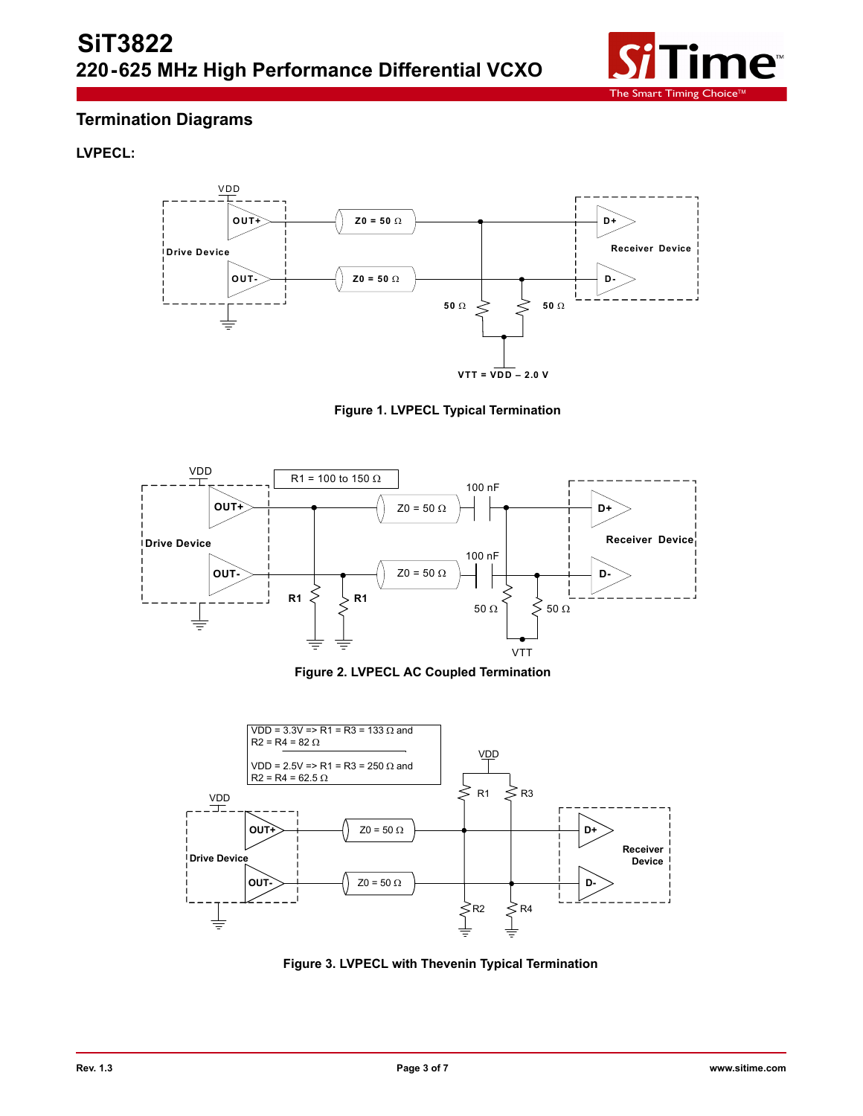

## **Termination Diagrams**

#### **LVPECL:**



**Figure 1. LVPECL Typical Termination**



**Figure 2. LVPECL AC Coupled Termination**



**Figure 3. LVPECL with Thevenin Typical Termination**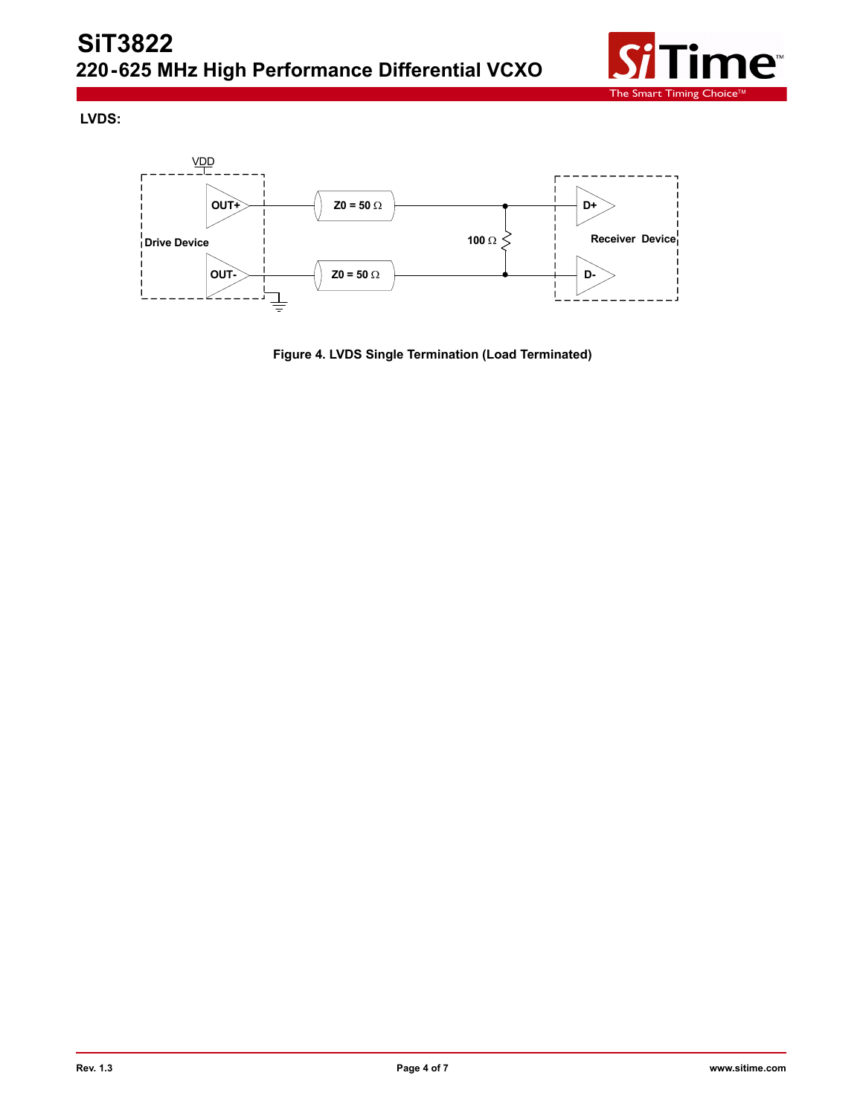

**LVDS:**



**Figure 4. LVDS Single Termination (Load Terminated)**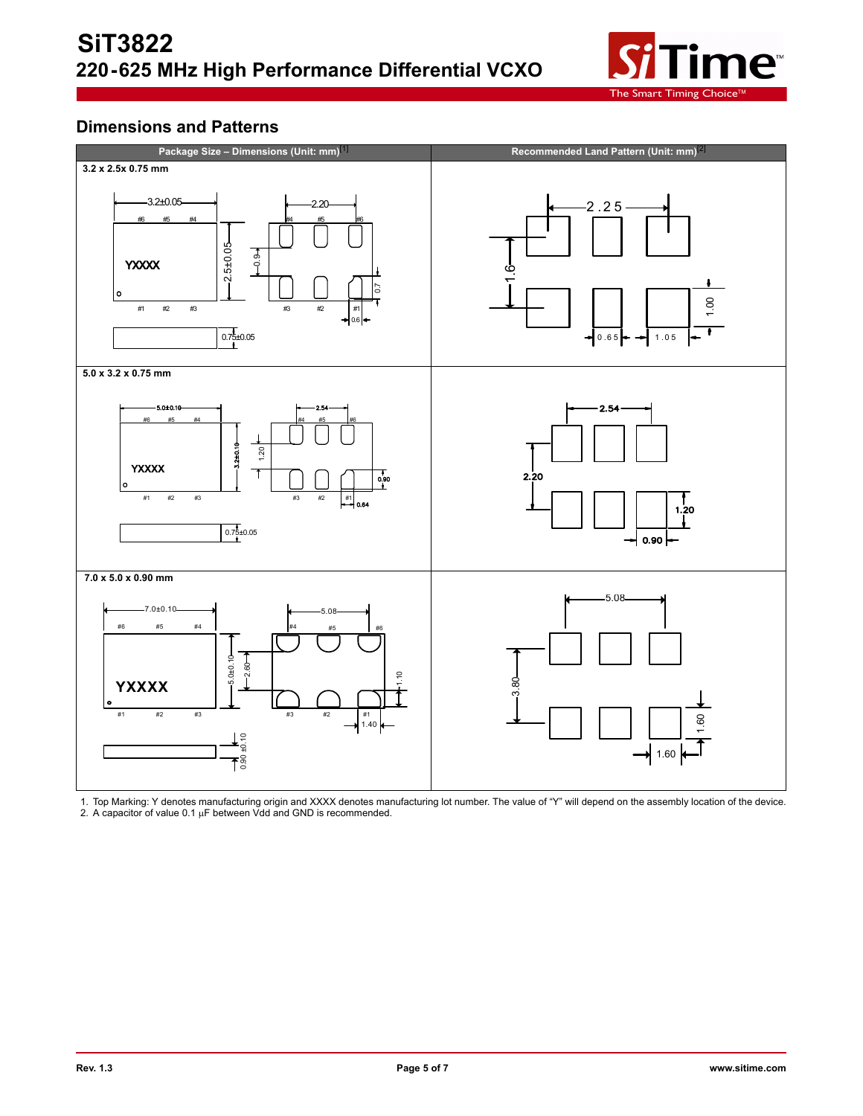

## **Dimensions and Patterns**



1. Top Marking: Y denotes manufacturing origin and XXXX denotes manufacturing lot number. The value of "Y" will depend on the assembly location of the device. 2. A capacitor of value 0.1  $\mu$ F between Vdd and GND is recommended.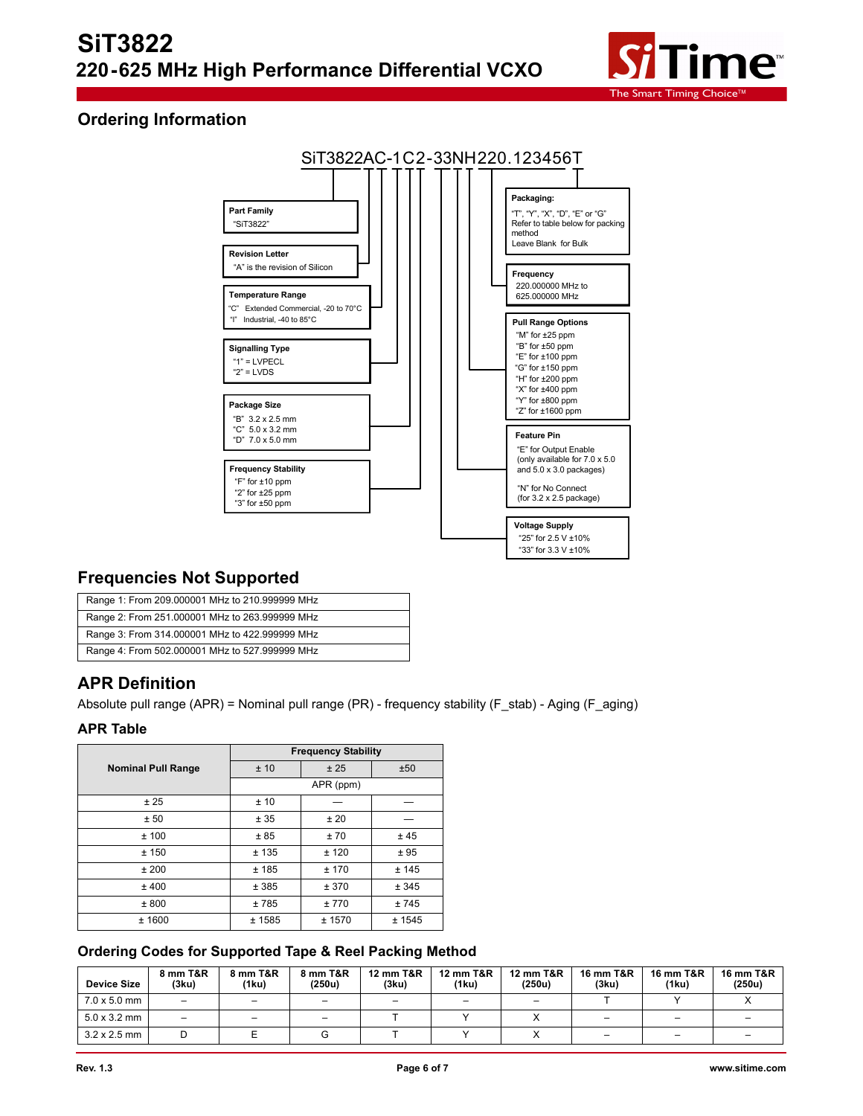

## **Ordering Information**



## **Frequencies Not Supported**

| Range 1: From 209.000001 MHz to 210.999999 MHz |
|------------------------------------------------|
| Range 2: From 251.000001 MHz to 263.999999 MHz |
| Range 3: From 314.000001 MHz to 422.999999 MHz |
| Range 4: From 502.000001 MHz to 527.999999 MHz |

## **APR Definition**

Absolute pull range (APR) = Nominal pull range (PR) - frequency stability (F\_stab) - Aging (F\_aging)

#### **APR Table**

|                           | <b>Frequency Stability</b> |           |        |  |  |  |
|---------------------------|----------------------------|-----------|--------|--|--|--|
| <b>Nominal Pull Range</b> | ±10                        | ±50       |        |  |  |  |
|                           |                            | APR (ppm) |        |  |  |  |
| ± 25                      | ±10                        |           |        |  |  |  |
| ± 50                      | ± 35                       | ±20       |        |  |  |  |
| ±100                      | ±85                        | ±70       | ±45    |  |  |  |
| ±150                      | ±135                       | ± 120     | ±95    |  |  |  |
| ±200                      | ±185                       | ± 170     | ± 145  |  |  |  |
| ± 400                     | ± 385                      | ± 370     | ± 345  |  |  |  |
| ± 800                     | ±785                       | ±770      | ±745   |  |  |  |
| ± 1600                    | ± 1585                     | ± 1570    | ± 1545 |  |  |  |

#### **Ordering Codes for Supported Tape & Reel Packing Method**

| <b>Device Size</b>          | 8 mm T&R<br>(3ku)        | 8 mm T&R<br>(1ku)        | 8 mm T&R<br>(250u) | <b>12 mm T&amp;R</b><br>(3ku) | <b>12 mm T&amp;R</b><br>(1ku) | <b>12 mm T&amp;R</b><br>(250u) | <b>16 mm T&amp;R</b><br>(3ku) | <b>16 mm T&amp;R</b><br>(1ku) | 16 mm T&R<br>(250u) |
|-----------------------------|--------------------------|--------------------------|--------------------|-------------------------------|-------------------------------|--------------------------------|-------------------------------|-------------------------------|---------------------|
| $7.0 \times 5.0 \text{ mm}$ | $\overline{\phantom{0}}$ | $\overline{\phantom{0}}$ |                    |                               |                               | $\overline{\phantom{m}}$       |                               |                               |                     |
| $5.0 \times 3.2$ mm         | -                        |                          |                    |                               |                               |                                |                               |                               |                     |
| $3.2 \times 2.5$ mm         |                          |                          |                    |                               |                               |                                |                               |                               |                     |